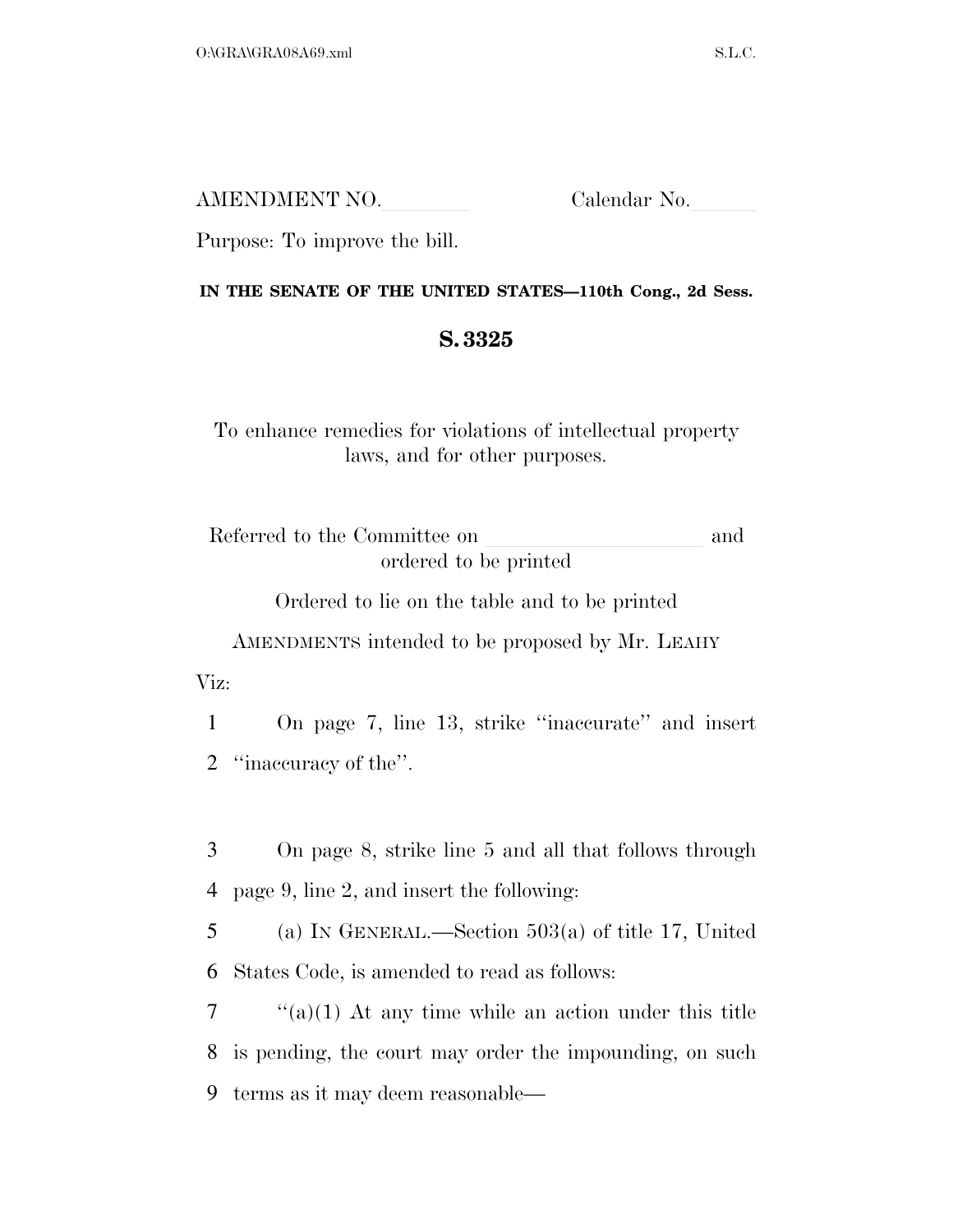AMENDMENT NO. Calendar No.

Purpose: To improve the bill.

## **IN THE SENATE OF THE UNITED STATES—110th Cong., 2d Sess.**

## **S. 3325**

To enhance remedies for violations of intellectual property laws, and for other purposes.

Referred to the Committee on and ordered to be printed

Ordered to lie on the table and to be printed

AMENDMENTS intended to be proposed by Mr. LEAHY

Viz:

1 On page 7, line 13, strike ''inaccurate'' and insert 2 ''inaccuracy of the''.

3 On page 8, strike line 5 and all that follows through 4 page 9, line 2, and insert the following:

5 (a) IN GENERAL.—Section 503(a) of title 17, United 6 States Code, is amended to read as follows:

 $7$  ''(a)(1) At any time while an action under this title 8 is pending, the court may order the impounding, on such 9 terms as it may deem reasonable—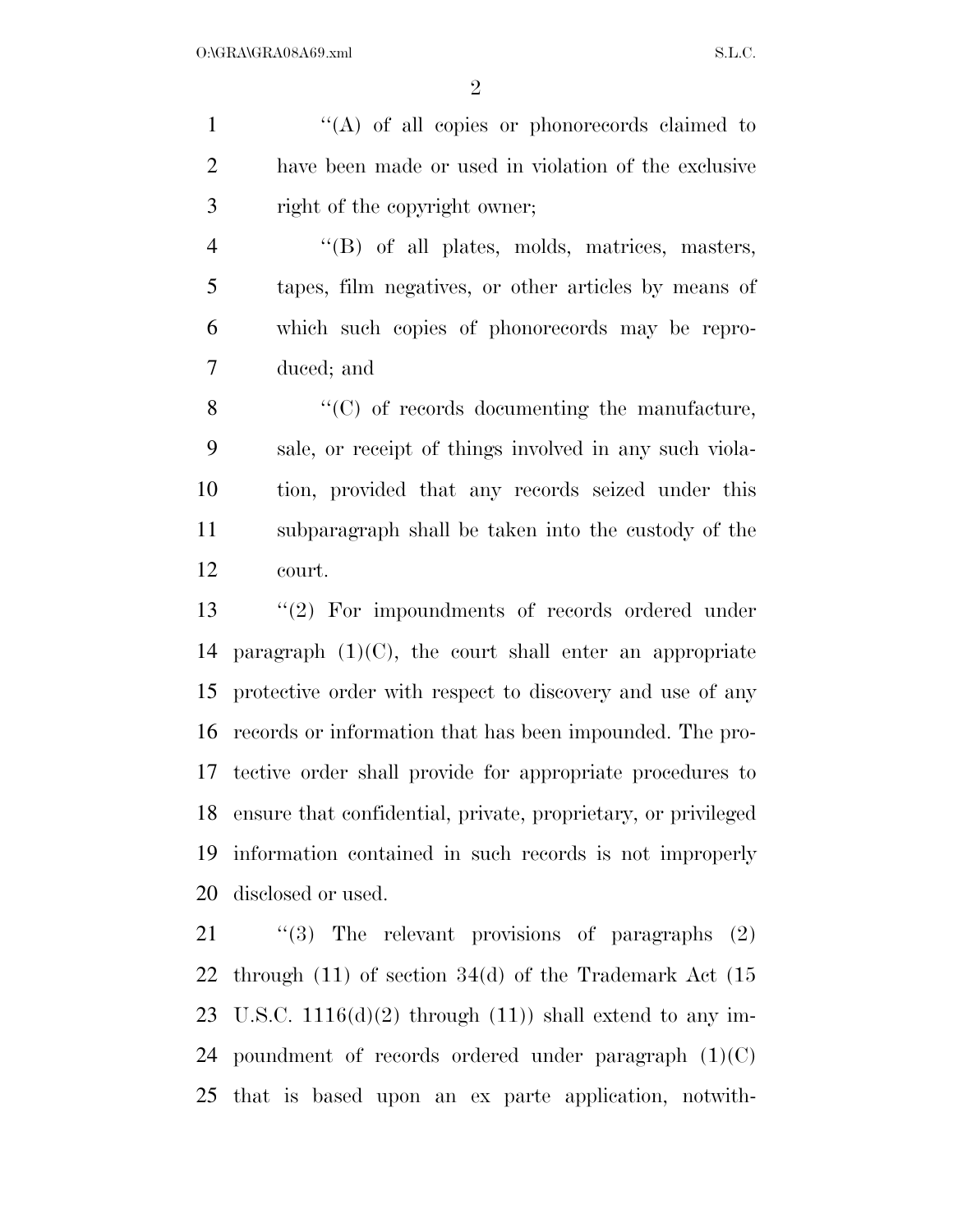1  $\langle (A)$  of all copies or phonorecords claimed to have been made or used in violation of the exclusive right of the copyright owner;

 ''(B) of all plates, molds, matrices, masters, tapes, film negatives, or other articles by means of which such copies of phonorecords may be repro-duced; and

8 "(C) of records documenting the manufacture, sale, or receipt of things involved in any such viola- tion, provided that any records seized under this subparagraph shall be taken into the custody of the court.

 ''(2) For impoundments of records ordered under 14 paragraph  $(1)(C)$ , the court shall enter an appropriate protective order with respect to discovery and use of any records or information that has been impounded. The pro- tective order shall provide for appropriate procedures to ensure that confidential, private, proprietary, or privileged information contained in such records is not improperly disclosed or used.

 ''(3) The relevant provisions of paragraphs (2) through (11) of section 34(d) of the Trademark Act (15 23 U.S.C.  $1116(d)(2)$  through  $(11)$ ) shall extend to any im-24 poundment of records ordered under paragraph  $(1)(C)$ that is based upon an ex parte application, notwith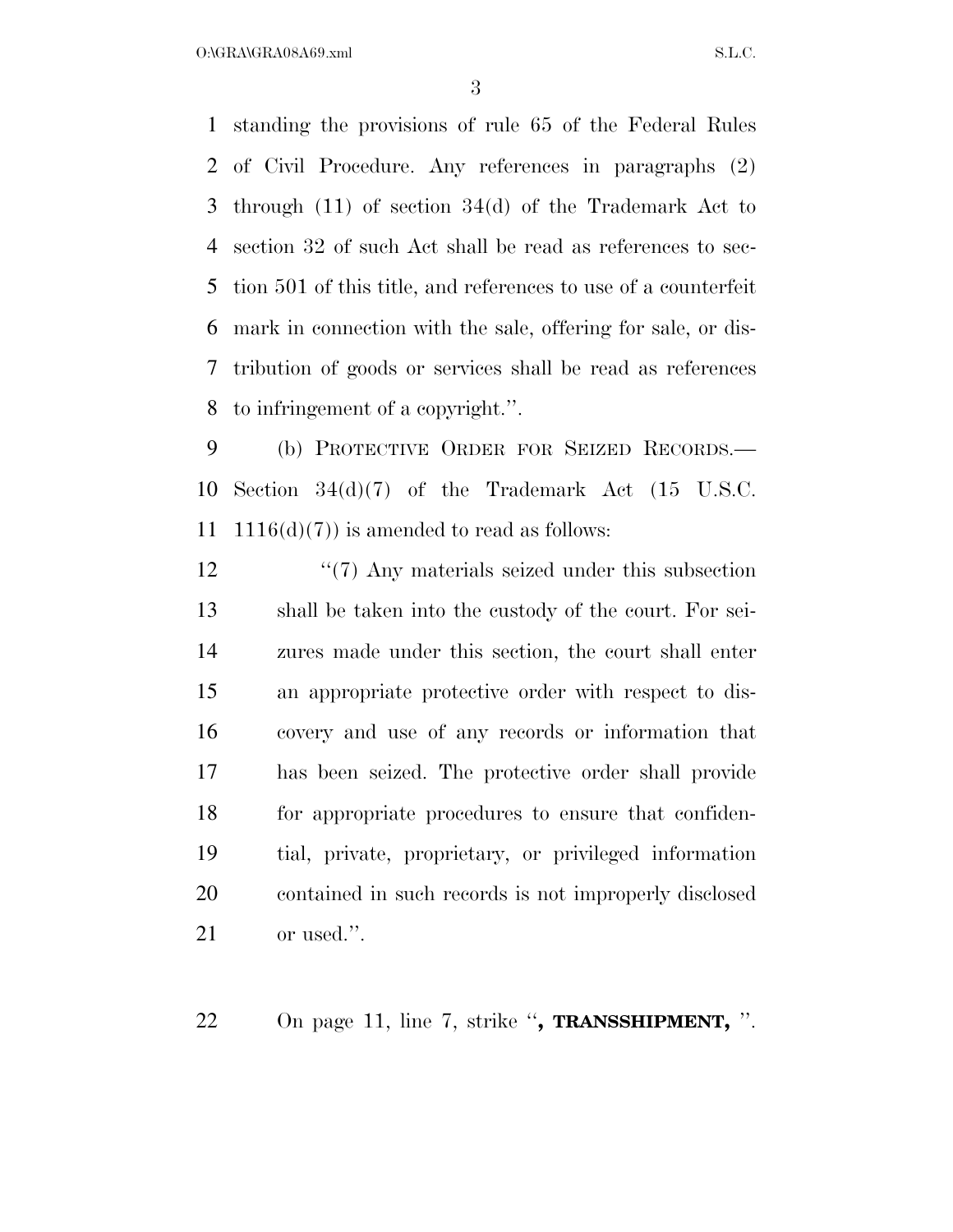$O:\n *ORA\vee *GRA**$ 08A69.xml S.L.C.

 standing the provisions of rule 65 of the Federal Rules of Civil Procedure. Any references in paragraphs (2) through (11) of section 34(d) of the Trademark Act to section 32 of such Act shall be read as references to sec- tion 501 of this title, and references to use of a counterfeit mark in connection with the sale, offering for sale, or dis- tribution of goods or services shall be read as references to infringement of a copyright.''.

 (b) PROTECTIVE ORDER FOR SEIZED RECORDS.— Section 34(d)(7) of the Trademark Act (15 U.S.C. 11 1116(d)(7)) is amended to read as follows:

12 ''(7) Any materials seized under this subsection shall be taken into the custody of the court. For sei- zures made under this section, the court shall enter an appropriate protective order with respect to dis- covery and use of any records or information that has been seized. The protective order shall provide for appropriate procedures to ensure that confiden- tial, private, proprietary, or privileged information contained in such records is not improperly disclosed or used.''.

On page 11, line 7, strike ''**, TRANSSHIPMENT,** ''.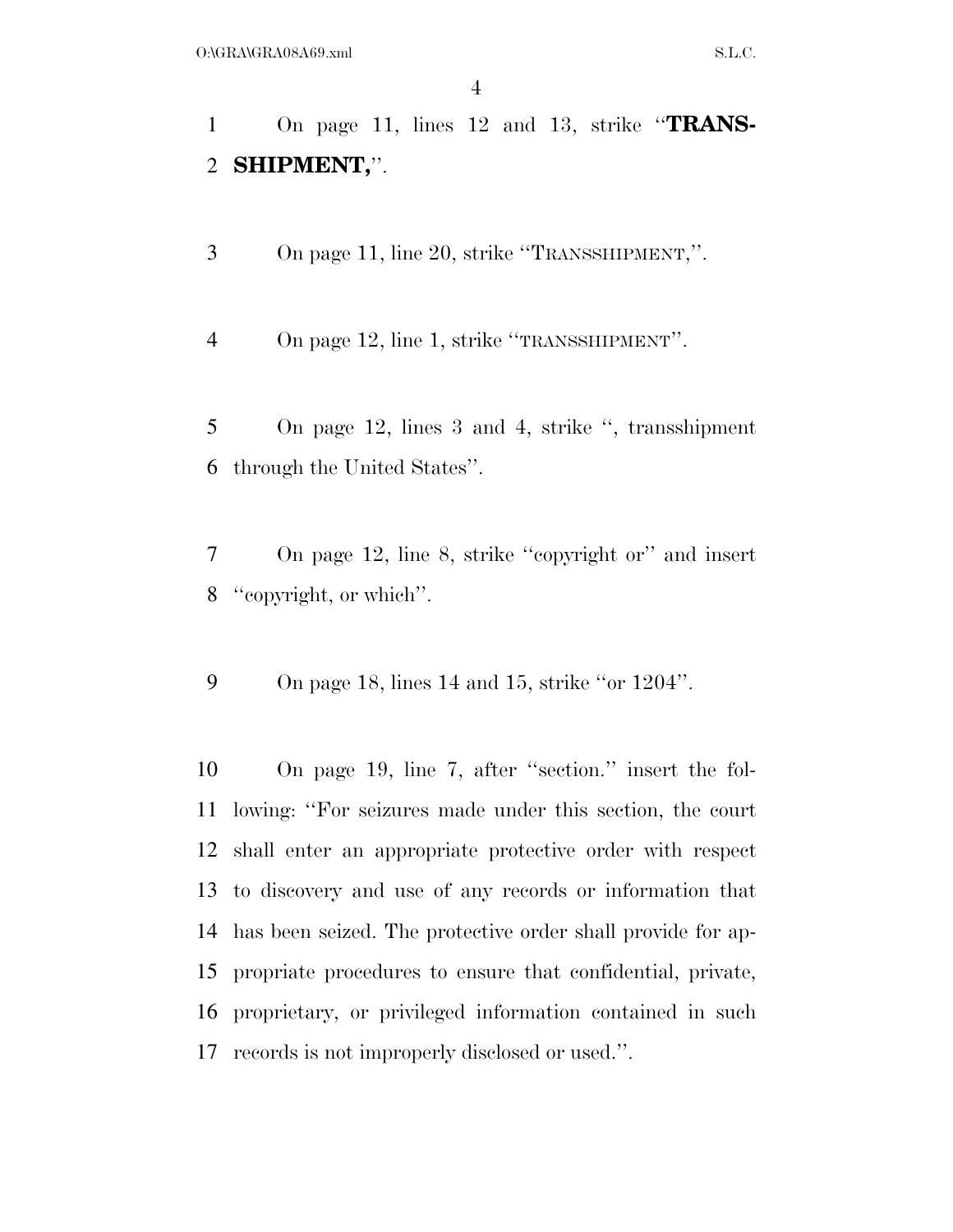On page 11, lines 12 and 13, strike ''**TRANS-SHIPMENT,**''.

On page 11, line 20, strike ''TRANSSHIPMENT,''.

On page 12, line 1, strike ''TRANSSHIPMENT''.

 On page 12, lines 3 and 4, strike '', transshipment through the United States''.

 On page 12, line 8, strike ''copyright or'' and insert ''copyright, or which''.

On page 18, lines 14 and 15, strike ''or 1204''.

 On page 19, line 7, after ''section.'' insert the fol- lowing: ''For seizures made under this section, the court shall enter an appropriate protective order with respect to discovery and use of any records or information that has been seized. The protective order shall provide for ap- propriate procedures to ensure that confidential, private, proprietary, or privileged information contained in such records is not improperly disclosed or used.''.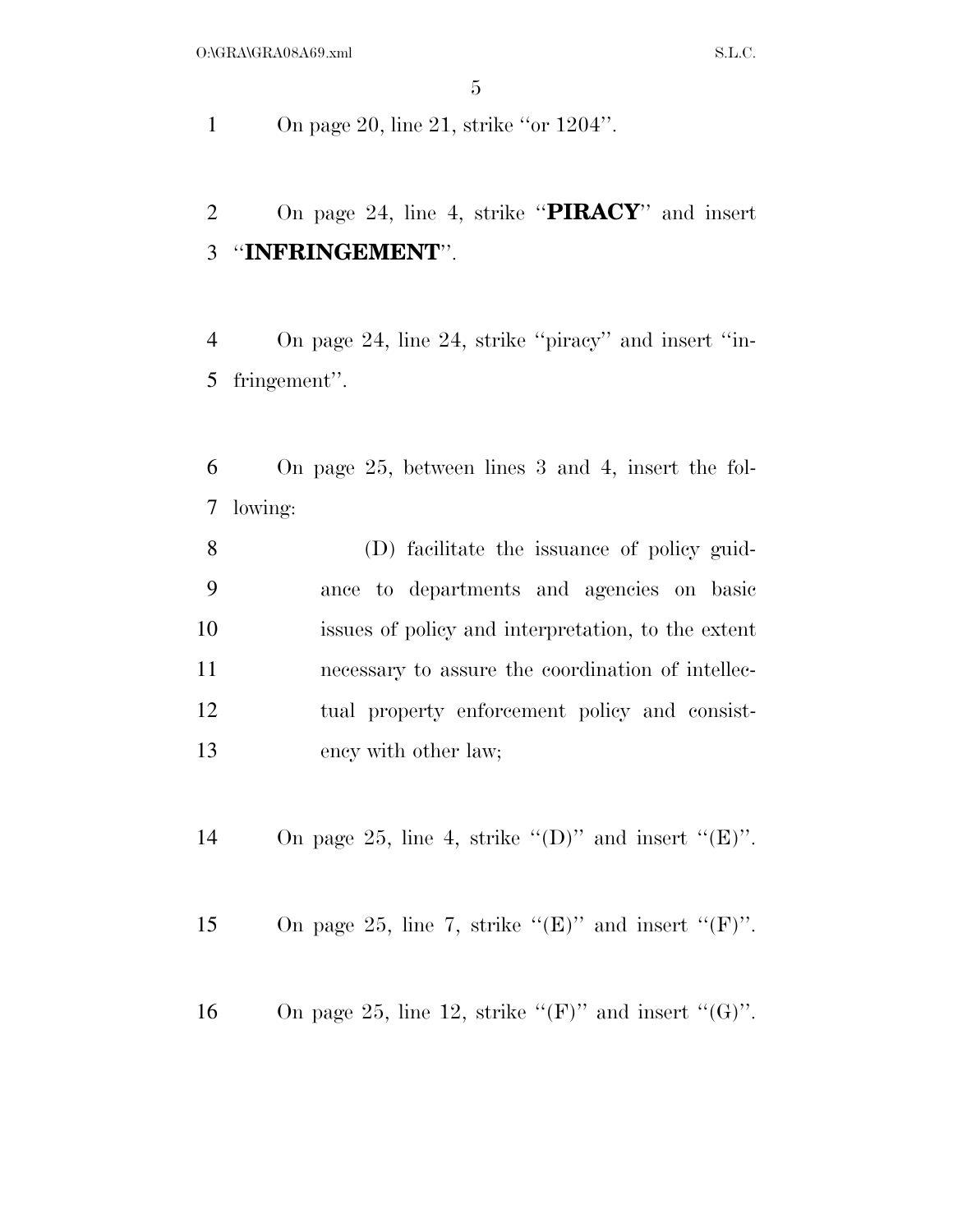1 On page 20, line 21, strike "or 1204".

 On page 24, line 4, strike ''**PIRACY**'' and insert ''**INFRINGEMENT**''.

 On page 24, line 24, strike ''piracy'' and insert ''in-fringement''.

 On page 25, between lines 3 and 4, insert the fol-lowing:

 (D) facilitate the issuance of policy guid- ance to departments and agencies on basic issues of policy and interpretation, to the extent necessary to assure the coordination of intellec- tual property enforcement policy and consist-13 ency with other law;

14 On page 25, line 4, strike  $"(\mathbf{D})"$  and insert  $"(\mathbf{E})"$ .

15 On page 25, line 7, strike " $(E)$ " and insert " $(F)$ ".

16 On page 25, line 12, strike " $(F)$ " and insert " $(G)$ ".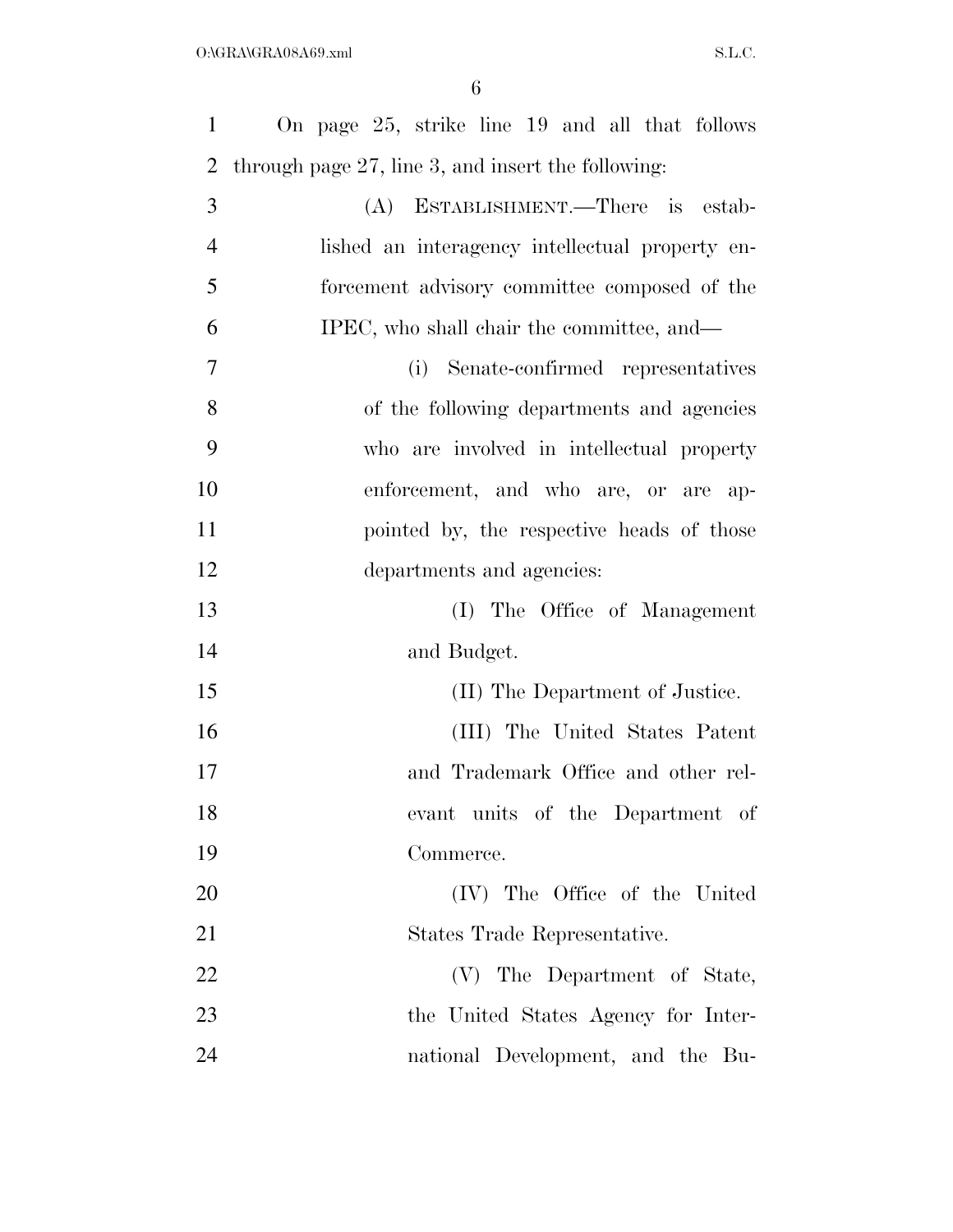| $\mathbf{1}$   | On page 25, strike line 19 and all that follows       |
|----------------|-------------------------------------------------------|
| $\overline{2}$ | through page $27$ , line 3, and insert the following: |
| 3              | (A) ESTABLISHMENT.—There is estab-                    |
| $\overline{4}$ | lished an interagency intellectual property en-       |
| 5              | forcement advisory committee composed of the          |
| 6              | IPEC, who shall chair the committee, and—             |
| 7              | (i) Senate-confirmed representatives                  |
| 8              | of the following departments and agencies             |
| 9              | who are involved in intellectual property             |
| 10             | enforcement, and who are, or are ap-                  |
| 11             | pointed by, the respective heads of those             |
| 12             | departments and agencies:                             |
| 13             | (I) The Office of Management                          |
| 14             | and Budget.                                           |
| 15             | (II) The Department of Justice.                       |
| 16             | (III) The United States Patent                        |
| 17             | and Trademark Office and other rel-                   |
| 18             | evant units of the Department of                      |
| 19             | Commerce.                                             |
| 20             | (IV) The Office of the United                         |
| 21             | States Trade Representative.                          |
| 22             | (V) The Department of State,                          |
| 23             | the United States Agency for Inter-                   |
| 24             | national Development, and the Bu-                     |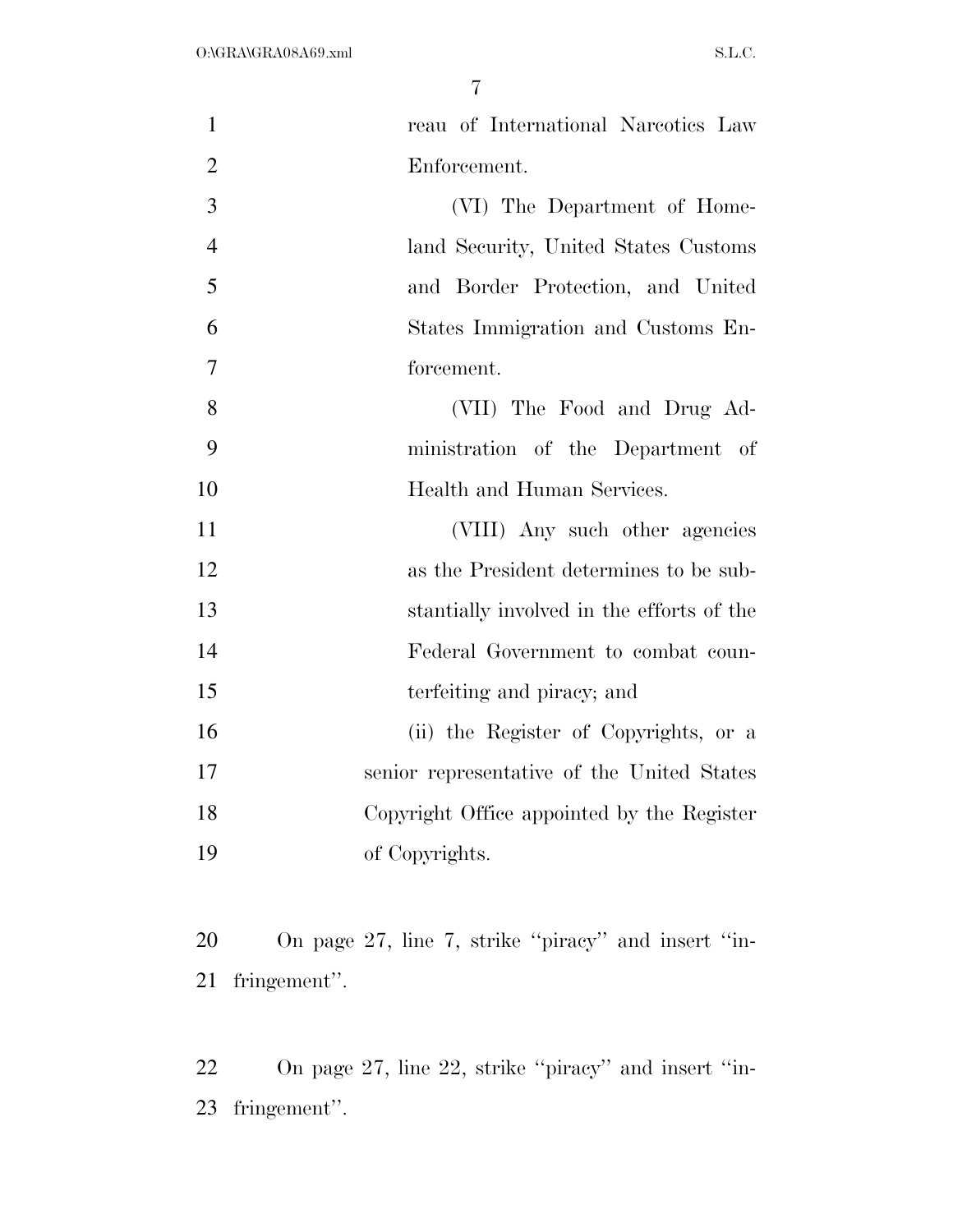| $\mathbf{1}$   | reau of International Narcotics Law        |
|----------------|--------------------------------------------|
| $\overline{2}$ | Enforcement.                               |
| 3              | (VI) The Department of Home-               |
| $\overline{4}$ | land Security, United States Customs       |
| 5              | and Border Protection, and United          |
| 6              | States Immigration and Customs En-         |
| $\overline{7}$ | forcement.                                 |
| 8              | (VII) The Food and Drug Ad-                |
| 9              | ministration of the Department of          |
| 10             | Health and Human Services.                 |
| 11             | (VIII) Any such other agencies             |
| 12             | as the President determines to be sub-     |
| 13             | stantially involved in the efforts of the  |
| 14             | Federal Government to combat coun-         |
| 15             | terfeiting and piracy; and                 |
| 16             | (ii) the Register of Copyrights, or a      |
| 17             | senior representative of the United States |
| 18             | Copyright Office appointed by the Register |
| 19             | of Copyrights.                             |
|                |                                            |
|                |                                            |

 On page 27, line 7, strike ''piracy'' and insert ''in-fringement''.

 On page 27, line 22, strike ''piracy'' and insert ''in-fringement''.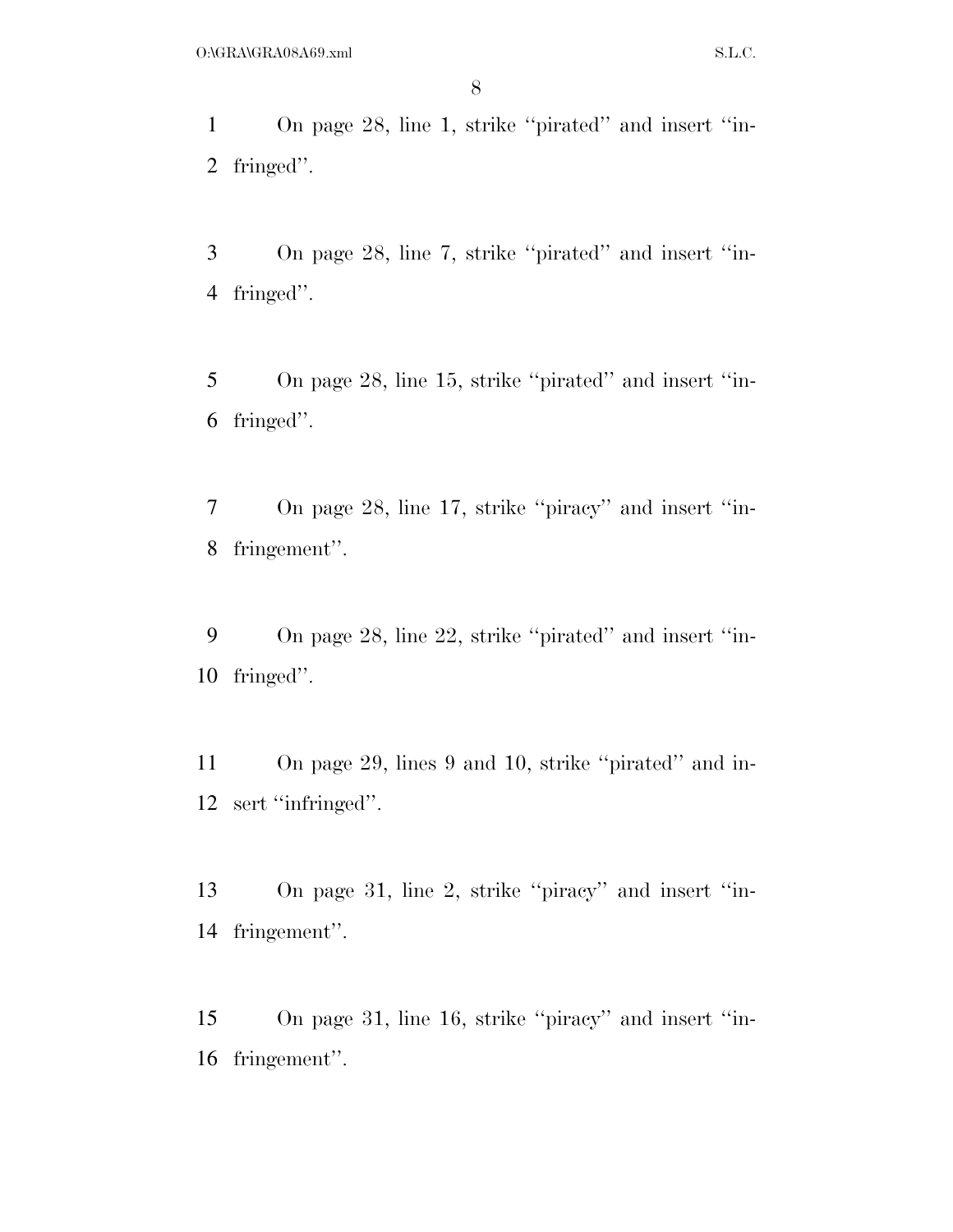On page 28, line 1, strike ''pirated'' and insert ''in-fringed''.

 On page 28, line 7, strike ''pirated'' and insert ''in-fringed''.

 On page 28, line 15, strike ''pirated'' and insert ''in-fringed''.

 On page 28, line 17, strike ''piracy'' and insert ''in-fringement''.

 On page 28, line 22, strike ''pirated'' and insert ''in-fringed''.

 On page 29, lines 9 and 10, strike ''pirated'' and in-sert ''infringed''.

 On page 31, line 2, strike ''piracy'' and insert ''in-fringement''.

 On page 31, line 16, strike ''piracy'' and insert ''in-fringement''.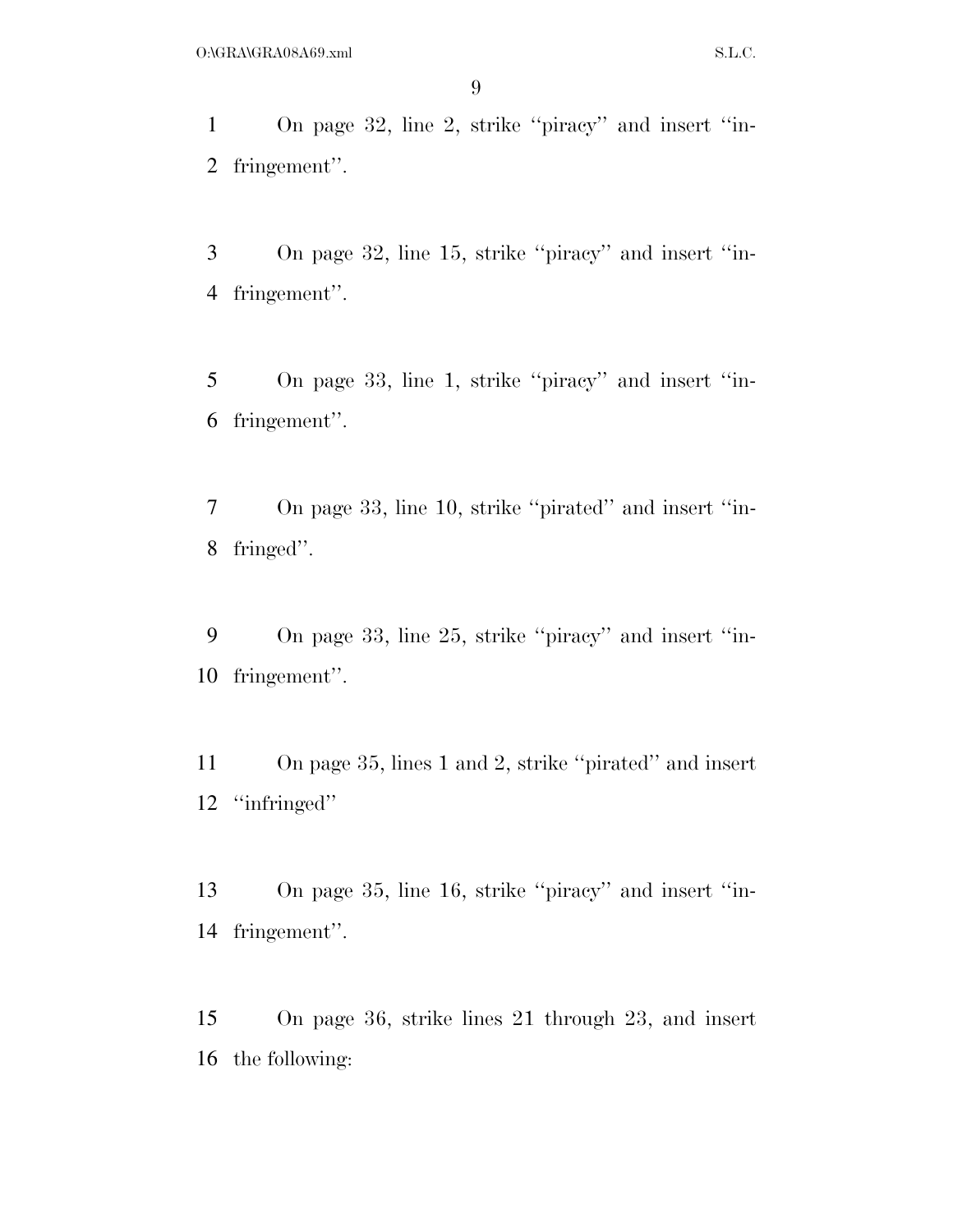On page 32, line 2, strike ''piracy'' and insert ''in-fringement''.

 On page 32, line 15, strike ''piracy'' and insert ''in-fringement''.

 On page 33, line 1, strike ''piracy'' and insert ''in-fringement''.

 On page 33, line 10, strike ''pirated'' and insert ''in-fringed''.

 On page 33, line 25, strike ''piracy'' and insert ''in-fringement''.

 On page 35, lines 1 and 2, strike ''pirated'' and insert ''infringed''

 On page 35, line 16, strike ''piracy'' and insert ''in-fringement''.

 On page 36, strike lines 21 through 23, and insert the following: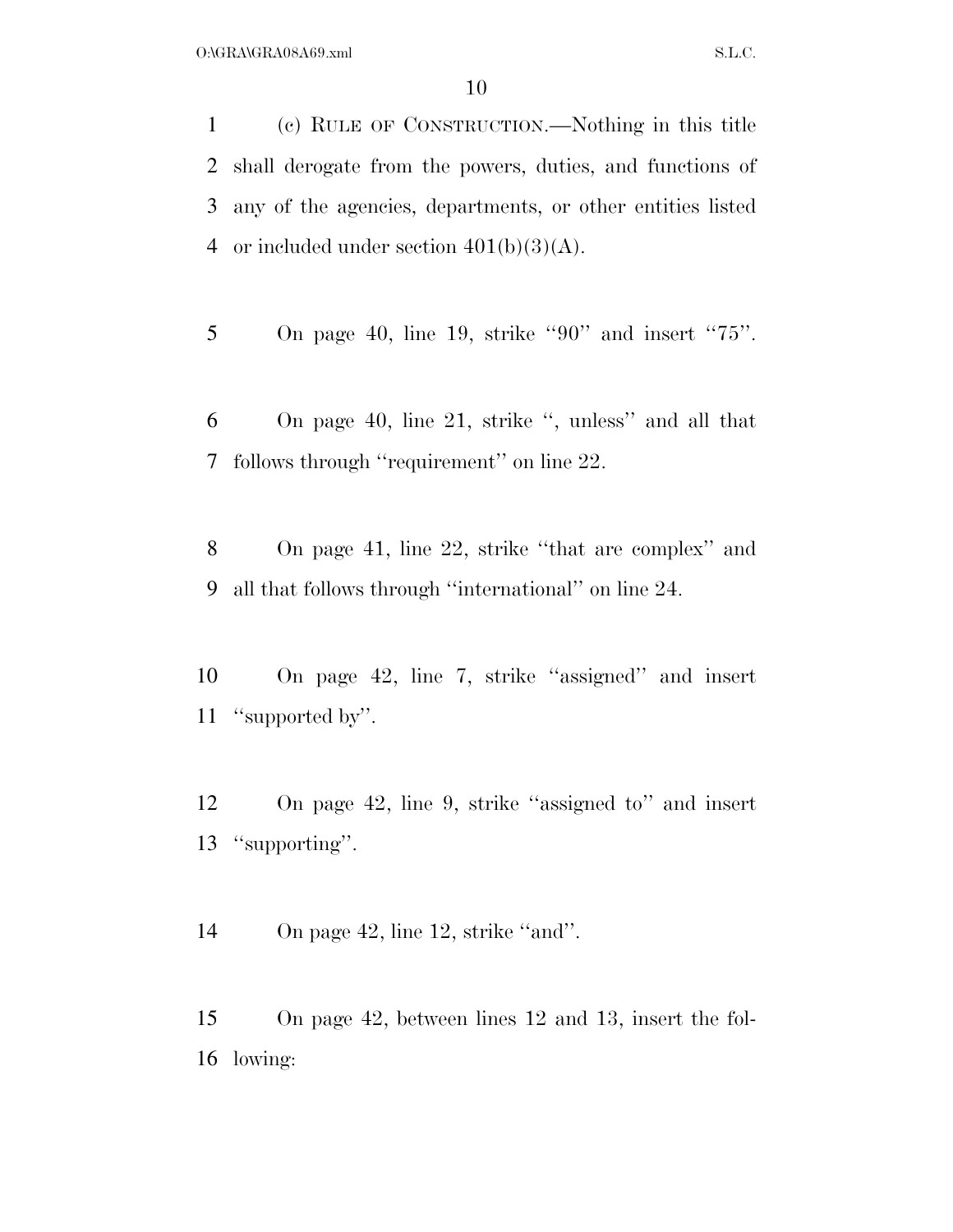(c) RULE OF CONSTRUCTION.—Nothing in this title shall derogate from the powers, duties, and functions of any of the agencies, departments, or other entities listed 4 or included under section  $401(b)(3)(A)$ .

5 On page 40, line 19, strike "90" and insert "75".

 On page 40, line 21, strike '', unless'' and all that follows through ''requirement'' on line 22.

 On page 41, line 22, strike ''that are complex'' and all that follows through ''international'' on line 24.

 On page 42, line 7, strike ''assigned'' and insert ''supported by''.

 On page 42, line 9, strike ''assigned to'' and insert ''supporting''.

14 On page 42, line 12, strike "and".

 On page 42, between lines 12 and 13, insert the fol-lowing: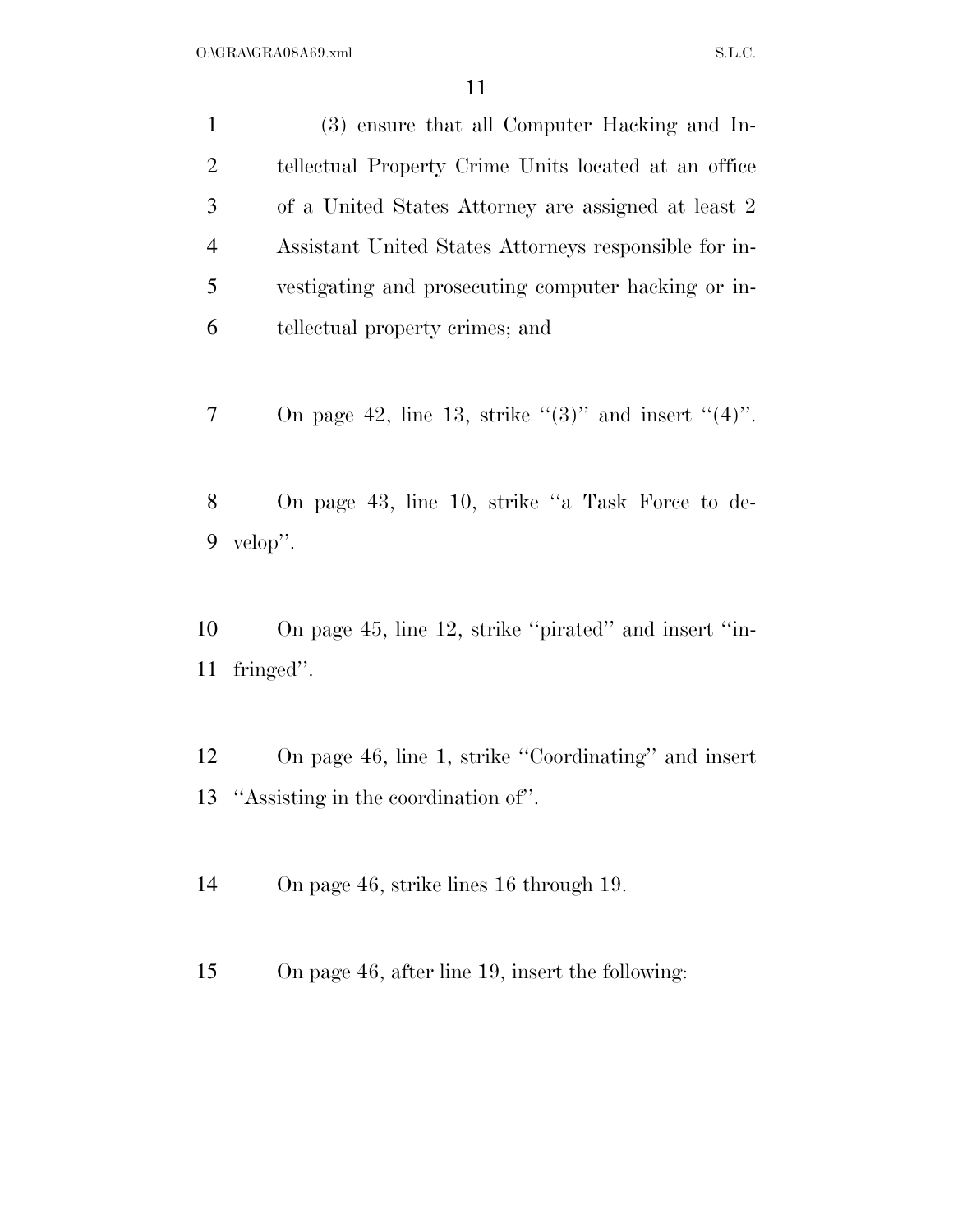| $\mathbf{1}$   | (3) ensure that all Computer Hacking and In-                |
|----------------|-------------------------------------------------------------|
| $\overline{2}$ | tellectual Property Crime Units located at an office        |
| 3              | of a United States Attorney are assigned at least 2         |
| $\overline{4}$ | Assistant United States Attorneys responsible for in-       |
| 5              | vestigating and prosecuting computer hacking or in-         |
| 6              | tellectual property crimes; and                             |
| 7              | On page 42, line 13, strike " $(3)$ " and insert " $(4)$ ". |
| 8              | On page 43, line 10, strike "a Task Force to de-            |
| 9              | velop".                                                     |
|                |                                                             |
| 10             | On page 45, line 12, strike "pirated" and insert "in-       |

fringed''.

- On page 46, line 1, strike ''Coordinating'' and insert ''Assisting in the coordination of''.
- On page 46, strike lines 16 through 19.
- On page 46, after line 19, insert the following: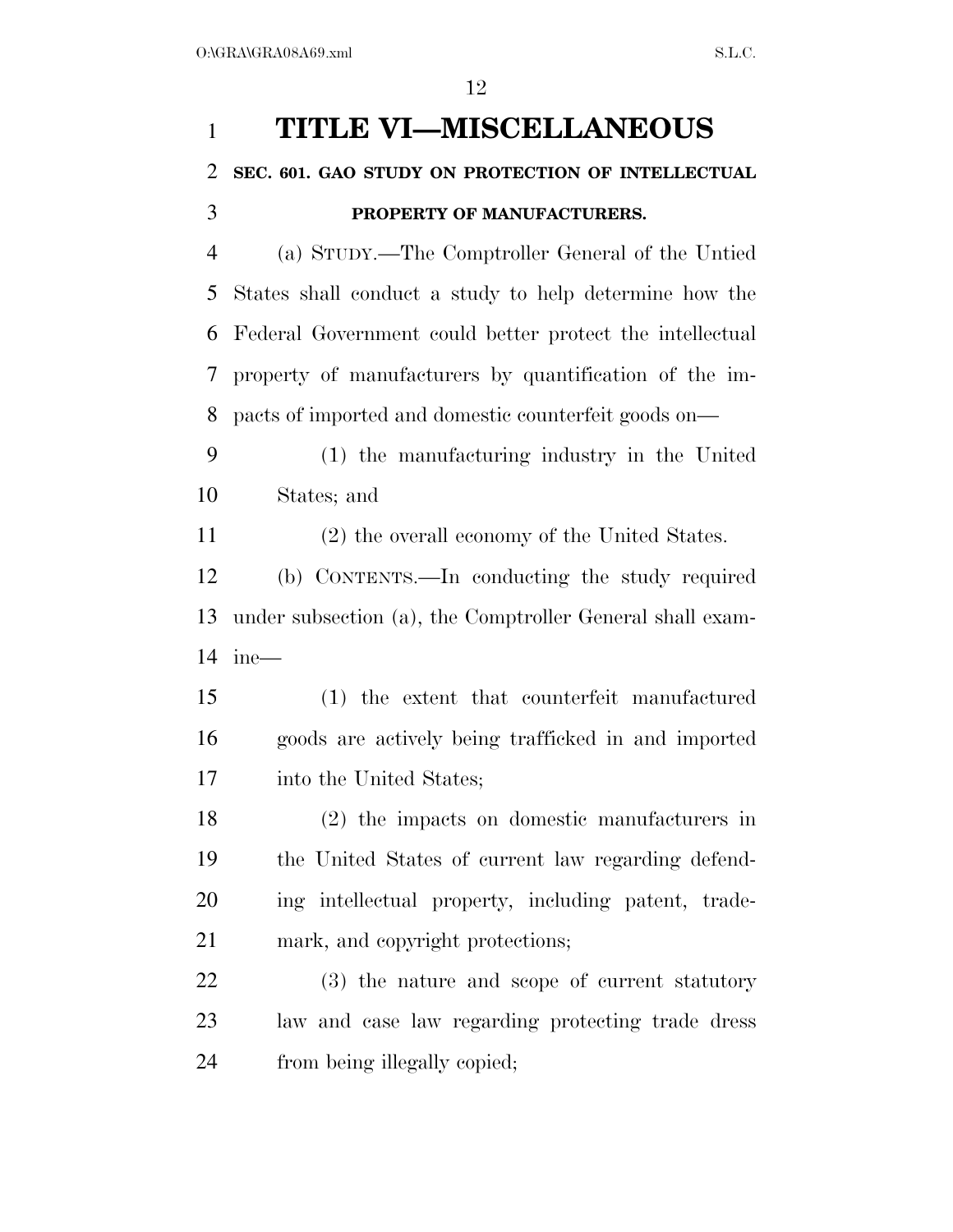## **TITLE VI—MISCELLANEOUS SEC. 601. GAO STUDY ON PROTECTION OF INTELLECTUAL PROPERTY OF MANUFACTURERS.**  (a) STUDY.—The Comptroller General of the Untied States shall conduct a study to help determine how the Federal Government could better protect the intellectual property of manufacturers by quantification of the im- pacts of imported and domestic counterfeit goods on— (1) the manufacturing industry in the United States; and (2) the overall economy of the United States. (b) CONTENTS.—In conducting the study required under subsection (a), the Comptroller General shall exam- ine— (1) the extent that counterfeit manufactured goods are actively being trafficked in and imported into the United States; (2) the impacts on domestic manufacturers in the United States of current law regarding defend- ing intellectual property, including patent, trade- mark, and copyright protections; (3) the nature and scope of current statutory law and case law regarding protecting trade dress from being illegally copied;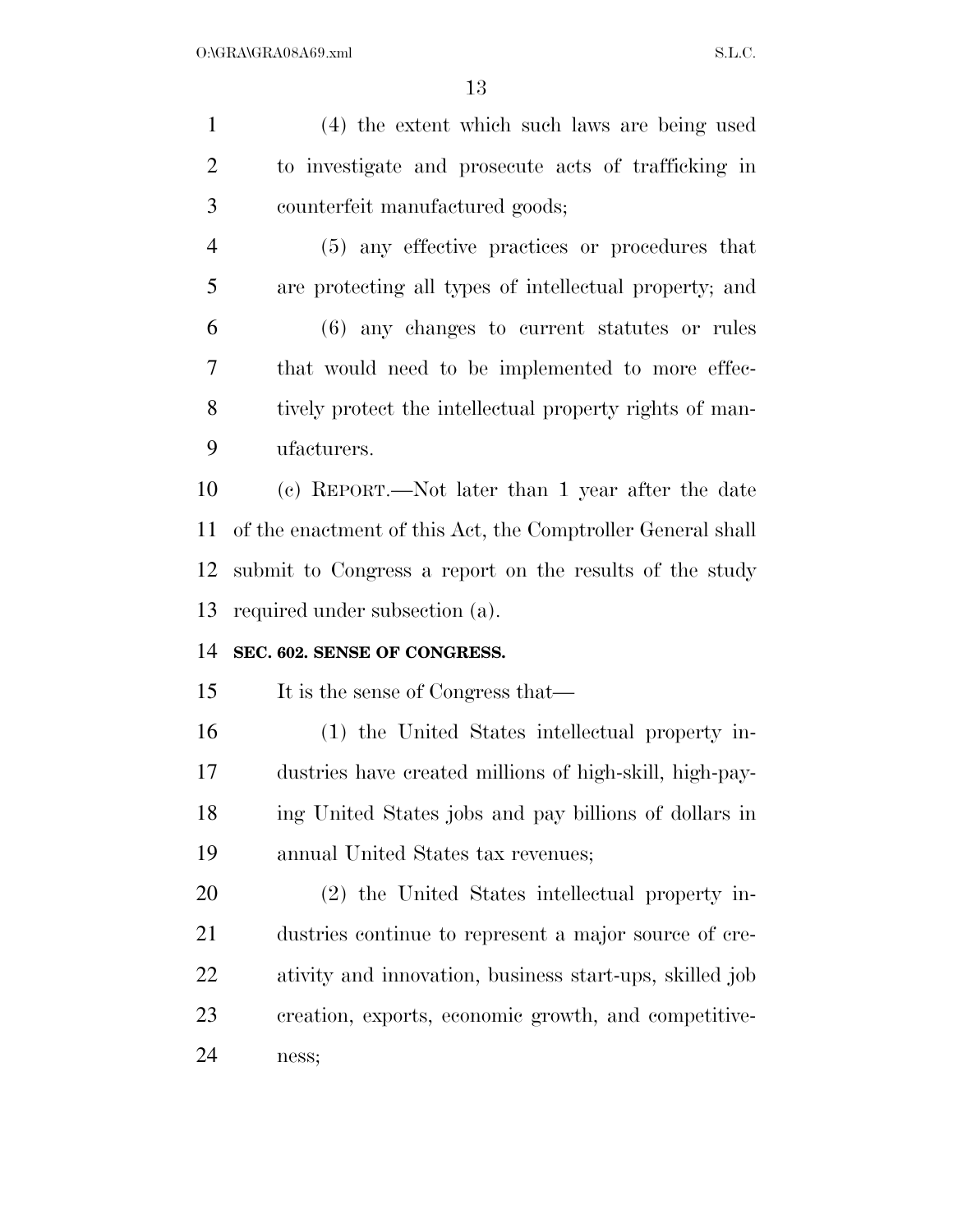| $\mathbf{1}$   | (4) the extent which such laws are being used               |
|----------------|-------------------------------------------------------------|
| $\overline{2}$ | to investigate and prosecute acts of trafficking in         |
| 3              | counterfeit manufactured goods;                             |
| $\overline{4}$ | (5) any effective practices or procedures that              |
| 5              | are protecting all types of intellectual property; and      |
| 6              | $(6)$ any changes to current statutes or rules              |
| 7              | that would need to be implemented to more effec-            |
| 8              | tively protect the intellectual property rights of man-     |
| 9              | ufacturers.                                                 |
| 10             | (c) REPORT.—Not later than 1 year after the date            |
| 11             | of the enactment of this Act, the Comptroller General shall |
| 12             | submit to Congress a report on the results of the study     |
| 13             | required under subsection (a).                              |
| 14             | SEC. 602. SENSE OF CONGRESS.                                |
| 15             | It is the sense of Congress that—                           |
| 16             | (1) the United States intellectual property in-             |
| 17             | dustries have created millions of high-skill, high-pay-     |
| 18             | ing United States jobs and pay billions of dollars in       |
| 19             | annual United States tax revenues;                          |
| 20             | (2) the United States intellectual property in-             |
| 21             | dustries continue to represent a major source of cre-       |
| 22             | ativity and innovation, business start-ups, skilled job     |
| 23             | creation, exports, economic growth, and competitive-        |
| 24             | ness;                                                       |
|                |                                                             |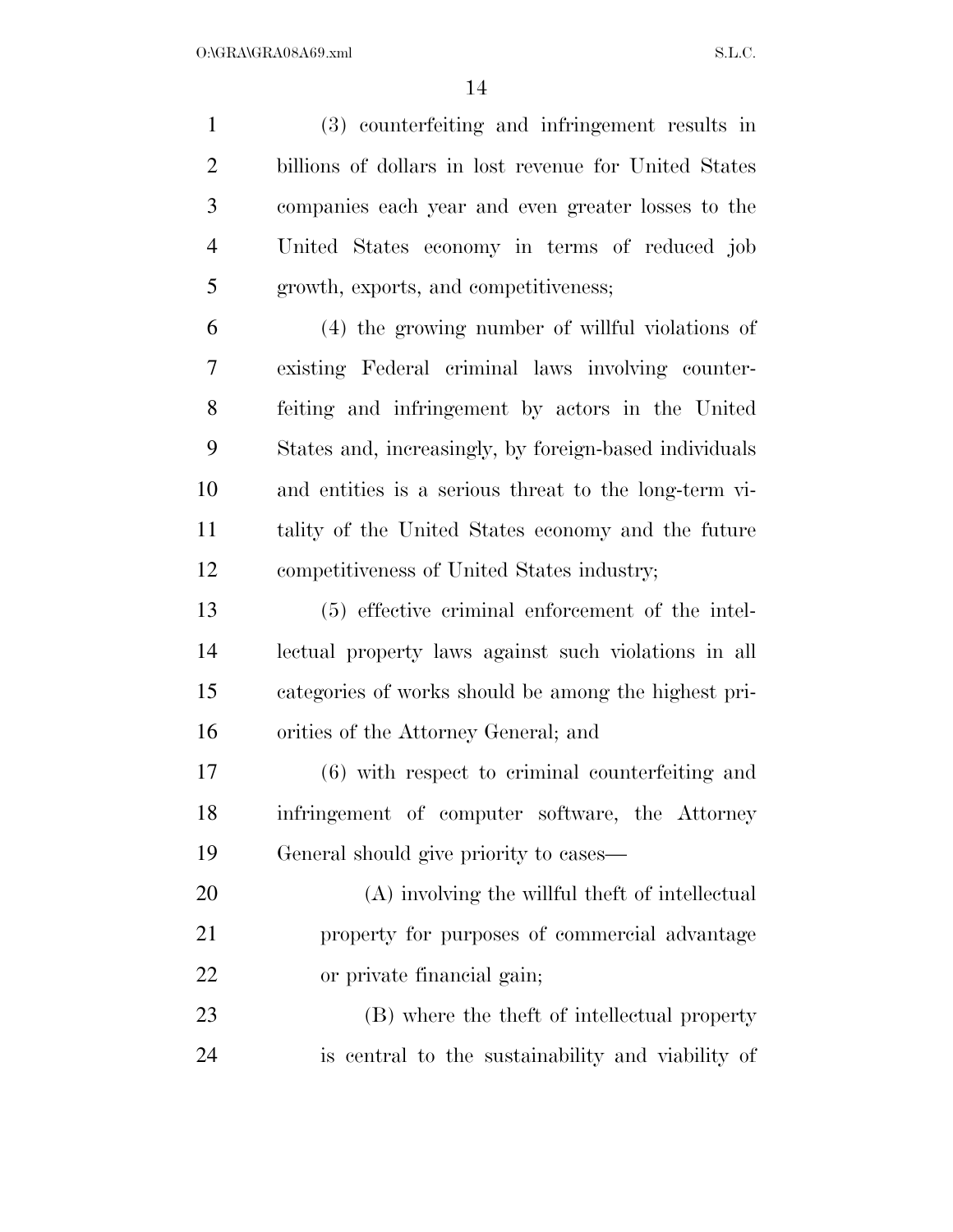(3) counterfeiting and infringement results in billions of dollars in lost revenue for United States companies each year and even greater losses to the United States economy in terms of reduced job growth, exports, and competitiveness;

 (4) the growing number of willful violations of existing Federal criminal laws involving counter- feiting and infringement by actors in the United States and, increasingly, by foreign-based individuals and entities is a serious threat to the long-term vi- tality of the United States economy and the future competitiveness of United States industry;

 (5) effective criminal enforcement of the intel- lectual property laws against such violations in all categories of works should be among the highest pri-orities of the Attorney General; and

 (6) with respect to criminal counterfeiting and infringement of computer software, the Attorney General should give priority to cases—

 (A) involving the willful theft of intellectual property for purposes of commercial advantage or private financial gain;

 (B) where the theft of intellectual property is central to the sustainability and viability of